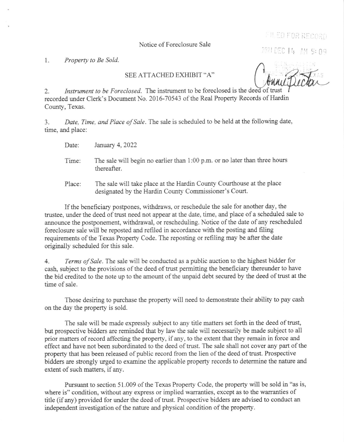Notice of Foreclosure Sale

FILED FOR RECORD

2021 DEC 14 AM 9: 09

1. Property to Be Sold.

## SEE ATTACHED EXHIBIT "A"

2. Instrument to be Foreclosed. The instrument to be foreclosed is the deed of recorded under Clerk's Docunent No. 2016-70543 of the Real Property Records of Hardin County, Texas.

3. Date, Time, and Place of Sale. The sale is scheduled to be held at the following date, time, and place:

Date: January 4, 2022

- The sale will begin no earlier than l:00 p.m. or no later than three hours thereafter. Time:
- Place: The sale will take place at the Hardin County Courthouse at the place desipated by the Hardin County Commissioner's Court.

If the beneficiary postpones, withdraws, or reschedule the saie for another day, the trustee, under the deed of trust need not appear at the date, time, and place of a scheduled sale to announce the postponement, withdrawal, or rescheduling. Notice of the date of any rescheduled foreclosure sale will be reposted and refiled in accordance with the posting and fiiing requirements of the Texas Property Code. The reposting or refiling may be after the date originally scheduled for this sale.

4. Terms of Sale. The sale will be conducted as a public auction to the highest bidder for cash, subject to the provisions of the deed of trust permitting the beneficiary thereunder to have the bid credited to the note up to the amount of the unpaid debt secured by the deed of trust at the time of sale.

Those desiring to purchase the property will need to demonstrate their ability to pay cash on the day the property is sold.

The sale will be made expressly subject to any title matters set forth in the deed of trust, but prospective bidders are reminded that by law the sale will necessarily be made subject to all prior matters of record affecting the property, if any, to the extent that they remain in force and effect and have not been subordinated to the deed of trust. The sale shall not cover any part of the property that has been released of public record from the lien of the deed of trust. Prospective bidders are strongly urged to examine the applicable property records to determine the nature and extent of such matters, if any.

Pursuant to section 51.009 of the Texas Property Code, the property will be sold in "as is, where is" condition, without any express or implied warranties, except as to the warranties of title (if any) provided for under the deed of trust. Prospective bidders are advised to conduct an independent investigation of the nature and physical condition of the property.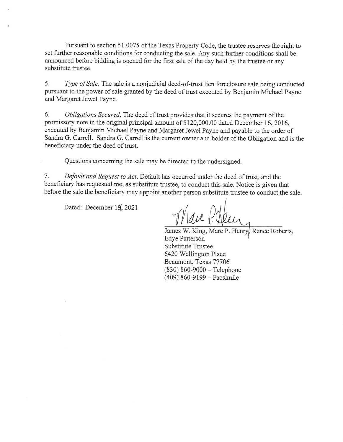Pursuant to section 51.0075 of the Texas Property Code, the trustee reserves the right to set further reasonable conditions for conducting the sale. Any such further conditions shall be announced before bidding is opened for the first sale of the day held by the trustee or any substitute trustee.

5. Type of Sale. The sale is a nonjudicial deed-of-trust lien foreclosure sale being conducted pursuant to the power of sale granted by the deed of trust executed by Benjamin Michael Payne and Margaret Jewel Payne.

6. Obligations Secured. The deed of trust provides that it secures the payment of the promissory note in the original principal amount of \$120,000.00 dated December 16, 2016, executed by Benjamin Michael Payne and Margaret Jewel Payne and payable to the order of Sandra G. Carrell. Sandra G. Carrell is the current owner and holder of the Obligation and is the beneficiary under the deed of trust.

Questions concerning the sale may be directed to the undersigned.

<sup>7</sup>. Default and Request to Act. Default has occurred under the deed of trust, and the beneficiary has requested me, as substitute trustee, to conduct this sale. Notice is given that before the sale the beneficiary may appoint another person substitute trustee to conduct the sale.

Dated: December 14, 2021

 $\Delta u$ 

James W. King, Marc P. Henry, Renee Roberts, Edye Patterson Substitute Trustee 6420 Wellington Place Beaumont, Texas 77706  $(830) 860 - 9000 -$ Telephone (409) 860-9199 - Facsimile